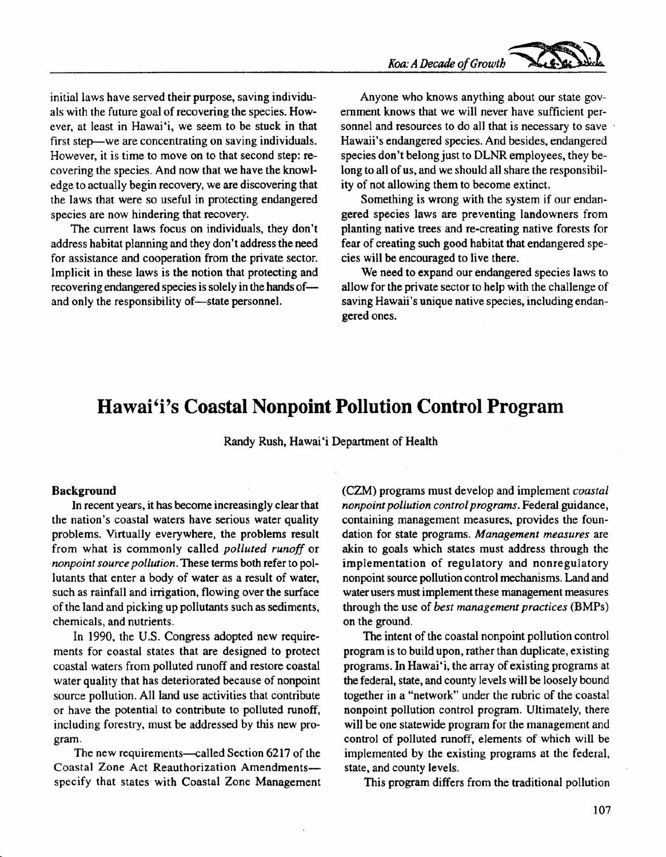initial laws have served their purpose, saving individuals with the future goal of recovering the species. However, at least in Hawai'i, we seem to be stuck in that first step--we are concentrating on saving individuals. However, it is time to move on to that second step: recovering the species. And now that we have the knowledge to actually begin recovery, we are discovering that the laws that were so useful in protecting endangered species are now hindering that recovery.

The current laws focus on individuals, they don't address habitat planning and they don't address the need for assistance and cooperation from the private sector. Implicit in these laws is the notion that protecting and recovering endangered species is solely in the hands ofand only the responsibility of-state personnel.

Anyone who knows anything about our state government knows that we will never have sufficient personnel and resources to do all that is necessary to save Hawaii's endangered species. And besides, endangered species don't belong just to DLNR employees, they belong to all of us, and we should all share the responsibility of not allowing them to become extinct.

Something is wrong with the system if our endangered species laws are preventing landowners from planting native trees and re-creating native forests for fear of creating such good habitat that endangered species will be encouraged to live there.

We need to expand our endangered species laws to allow for the private sector to help with the challenge of saving Hawaii's unique native species, including endangered ones.

# **Hawai'i's Coastal Nonpoint Pollution Control Program**

Randy Rush, Hawai'i Department of Health

#### **Background**

In recent years, it has become increasingly clear that the nation's coastal waters have serious water quality problems. Virtually everywhere, the problems result from what is commonly called *polluted runoff* or *nonpoint source pollution.* These terms both refer to pollutants that enter a body of water as a result of water, such as rainfall and irrigation, flowing over the surface of the land and picking up pollutants such as sediments, chemicals, and nutrients.

In 1990, the U.S. Congress adopted new requirements for coastal states that are designed to protect coastal waters from polluted runoff and restore coastal water quality that has deteriorated because of nonpoint source pollution. All land use activities that contribute or have the potential to contribute to polluted runoff, including forestry, must be addressed by this new program.

The new requirements—called Section 6217 of the Coastal Zone Act Reauthorization Amendmentsspecify that states with Coastal Zone Management (CZM) programs must develop and implement *coastal nonpoint pollution control programs.* Federal guidance, containing management measures, provides the foundation for state programs. *Management measures* are akin to goals which states must address through the implementation of regulatory and nonregulatory nonpoint source pollution control mechanisms. Land and water users must implement these management measures through the use of *best management practices* (BMPs) on the ground.

The intent of the coastal nonpoint pollution control program is to build upon, rather than duplicate, existing programs. In Hawai'i, the array of existing programs at the federal, state, and county levels will be loosely bound together in a "network" under the rubric of the coastal nonpoint pollution control program. Ultimately, there will be one statewide program for the management and control of polluted runoff, elements of which will be implemented by the existing programs at the federal, state, and county levels.

This program differs from the traditional pollution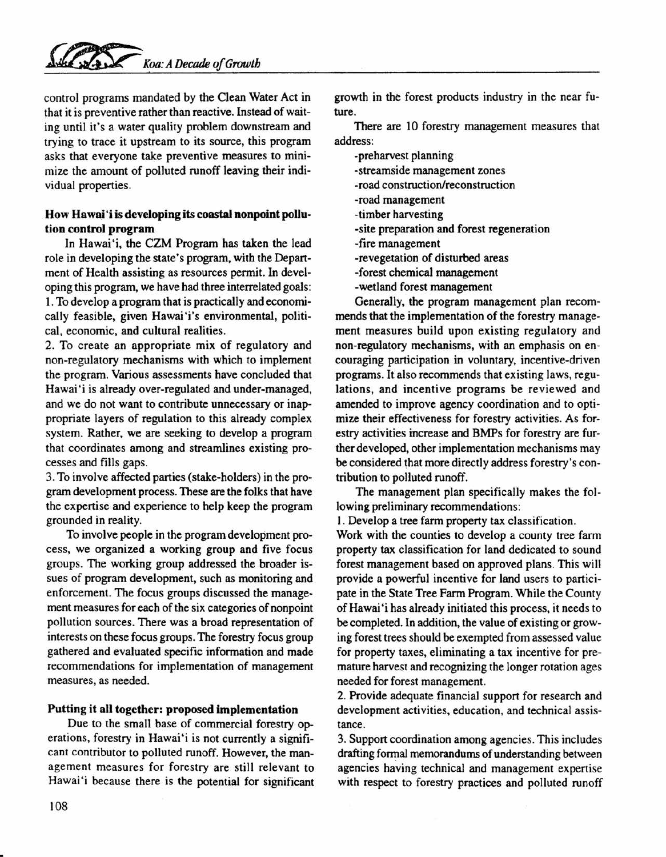control programs mandated by the Clean Water Act in that it is preventive rather than reactive. Instead of waiting until it's a water quality problem downstream and trying to trace it upstream to its source, this program asks that everyone take preventive measures to minimize the amount of polluted runoff leaving their individual properties.

## How Hawai'i is developing its coastal nonpoint pollution control program

In Hawai'i, the CZM Program has taken the lead role in developing the state's program, with the Department of Health assisting as resources permit. In developing this program, we have had three interrelated goals: 1. To develop a program that is practically and economically feasible, given Hawai'i's environmental, political, economic, and cultural realities.

2. To create an appropriate mix of regulatory and non-regulatory mechanisms with which to implement the program. Various assessments have concluded that Hawai'i is already over-regulated and under-managed, and we do not want to contribute unnecessary or inappropriate layers of regulation to this already complex system. Rather, we are seeking to develop a program that coordinates among and streamlines existing processes and fills gaps.

3. To involve affected parties (stake-holders) in the program development process. These are the folks that have the expertise and experience to help keep the program grounded in reality.

To involve people in the program development process, we organized a working group and five focus groups. The working group addressed the broader issues of program development, such as monitoring and enforcement. The focus groups discussed the management measures for each of the six categories of nonpoint pollution sources. There was a broad representation of interests on these focus groups. The forestry focus group gathered and evaluated specific information and made recommendations for implementation of management measures, as needed.

### Putting it all together: proposed implementation

Due to the small base of commercial forestry operations, forestry in Hawai'i is not currently a significant contributor to polluted runoff. However, the management measures for forestry are still relevant to Hawai"i because there is the potential for significant growth in the forest products industry in the near future.

There are 10 forestry management measures that address:

- -preharvest planning
- -streamside management zones
- -road construction/reconstruction
- -road management
- -timber harvesting
- -site preparation and forest regeneration
- -fire management
- -revegetation of disturbed areas
- -forest chemical management
- -wetland forest management

Generally, the program management plan recommends that the implementation of the forestry management measures build upon existing regulatory and non-regulatory mechanisms, with an emphasis on encouraging participation in voluntary, incentive-driven programs. It also recommends that existing laws, regulations, and incentive programs be reviewed and amended to improve agency coordination and to optimize their effectiveness for forestry activities. As forestry activities increase and BMPs for forestry are further developed, other implementation mechanisms may be considered that more directly address forestry's contribution to polluted runoff.

The management plan specifically makes the following preliminary recommendations:

1. Develop a tree farm property tax classification.

Work with the counties to develop a county tree farm property tax classification for land dedicated to sound forest management based on approved plans. This will provide a powerful incentive for land users to participate in the State Tree Farm Program. While the County of Hawai 'i has already initiated this process, it needs to be completed. In addition, the value of existing or growing forest trees should be exempted from assessed value for property taxes, eliminating a tax incentive for premature harvest and recognizing the longer rotation ages needed for forest management.

2. Provide adequate financial support for research and development activities, education, and technical assistance.

3. Support coordination among agencies. This includes drafting formal memorandums of understanding between agencies having technical and management expertise with respect to forestry practices and polluted runoff